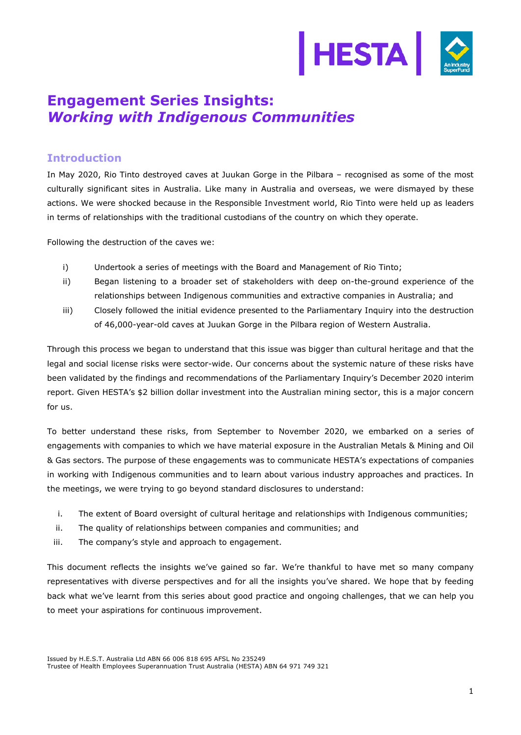

# **Engagement Series Insights:**  *Working with Indigenous Communities*

# **Introduction**

In May 2020, Rio Tinto destroyed caves at Juukan Gorge in the Pilbara – recognised as some of the most culturally significant sites in Australia. Like many in Australia and overseas, we were dismayed by these actions. We were shocked because in the Responsible Investment world, Rio Tinto were held up as leaders in terms of relationships with the traditional custodians of the country on which they operate.

Following the destruction of the caves we:

- i) Undertook a series of meetings with the Board and Management of Rio Tinto;
- ii) Began listening to a broader set of stakeholders with deep on-the-ground experience of the relationships between Indigenous communities and extractive companies in Australia; and
- iii) Closely followed the initial evidence presented to the Parliamentary Inquiry into the destruction of 46,000-year-old caves at Juukan Gorge in the Pilbara region of Western Australia.

Through this process we began to understand that this issue was bigger than cultural heritage and that the legal and social license risks were sector-wide. Our concerns about the systemic nature of these risks have been validated by the findings and recommendations of the Parliamentary Inquiry's December 2020 interim report. Given HESTA's \$2 billion dollar investment into the Australian mining sector, this is a major concern for us.

To better understand these risks, from September to November 2020, we embarked on a series of engagements with companies to which we have material exposure in the Australian Metals & Mining and Oil & Gas sectors. The purpose of these engagements was to communicate HESTA's expectations of companies in working with Indigenous communities and to learn about various industry approaches and practices. In the meetings, we were trying to go beyond standard disclosures to understand:

- i. The extent of Board oversight of cultural heritage and relationships with Indigenous communities;
- ii. The quality of relationships between companies and communities; and
- iii. The company's style and approach to engagement.

This document reflects the insights we've gained so far. We're thankful to have met so many company representatives with diverse perspectives and for all the insights you've shared. We hope that by feeding back what we've learnt from this series about good practice and ongoing challenges, that we can help you to meet your aspirations for continuous improvement.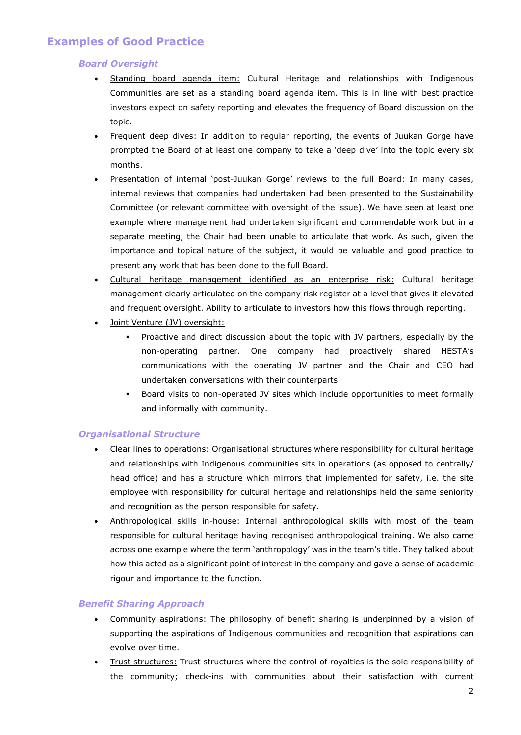# **Examples of Good Practice**

# *Board Oversight*

- Standing board agenda item: Cultural Heritage and relationships with Indigenous Communities are set as a standing board agenda item. This is in line with best practice investors expect on safety reporting and elevates the frequency of Board discussion on the topic.
- Frequent deep dives: In addition to regular reporting, the events of Juukan Gorge have prompted the Board of at least one company to take a 'deep dive' into the topic every six months.
- Presentation of internal 'post-Juukan Gorge' reviews to the full Board: In many cases, internal reviews that companies had undertaken had been presented to the Sustainability Committee (or relevant committee with oversight of the issue). We have seen at least one example where management had undertaken significant and commendable work but in a separate meeting, the Chair had been unable to articulate that work. As such, given the importance and topical nature of the subject, it would be valuable and good practice to present any work that has been done to the full Board.
- Cultural heritage management identified as an enterprise risk: Cultural heritage management clearly articulated on the company risk register at a level that gives it elevated and frequent oversight. Ability to articulate to investors how this flows through reporting.
- Joint Venture (JV) oversight:
	- Proactive and direct discussion about the topic with JV partners, especially by the non-operating partner. One company had proactively shared HESTA's communications with the operating JV partner and the Chair and CEO had undertaken conversations with their counterparts.
	- Board visits to non-operated JV sites which include opportunities to meet formally and informally with community.

# *Organisational Structure*

- Clear lines to operations: Organisational structures where responsibility for cultural heritage and relationships with Indigenous communities sits in operations (as opposed to centrally/ head office) and has a structure which mirrors that implemented for safety, i.e. the site employee with responsibility for cultural heritage and relationships held the same seniority and recognition as the person responsible for safety.
- Anthropological skills in-house: Internal anthropological skills with most of the team responsible for cultural heritage having recognised anthropological training. We also came across one example where the term 'anthropology' was in the team's title. They talked about how this acted as a significant point of interest in the company and gave a sense of academic rigour and importance to the function.

# *Benefit Sharing Approach*

- Community aspirations: The philosophy of benefit sharing is underpinned by a vision of supporting the aspirations of Indigenous communities and recognition that aspirations can evolve over time.
- Trust structures: Trust structures where the control of royalties is the sole responsibility of the community; check-ins with communities about their satisfaction with current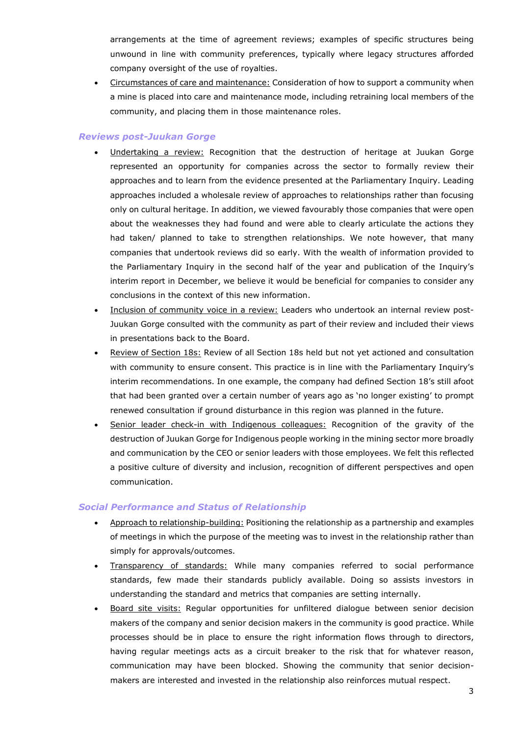arrangements at the time of agreement reviews; examples of specific structures being unwound in line with community preferences, typically where legacy structures afforded company oversight of the use of royalties.

 Circumstances of care and maintenance: Consideration of how to support a community when a mine is placed into care and maintenance mode, including retraining local members of the community, and placing them in those maintenance roles.

#### *Reviews post-Juukan Gorge*

- Undertaking a review: Recognition that the destruction of heritage at Juukan Gorge represented an opportunity for companies across the sector to formally review their approaches and to learn from the evidence presented at the Parliamentary Inquiry. Leading approaches included a wholesale review of approaches to relationships rather than focusing only on cultural heritage. In addition, we viewed favourably those companies that were open about the weaknesses they had found and were able to clearly articulate the actions they had taken/ planned to take to strengthen relationships. We note however, that many companies that undertook reviews did so early. With the wealth of information provided to the Parliamentary Inquiry in the second half of the year and publication of the Inquiry's interim report in December, we believe it would be beneficial for companies to consider any conclusions in the context of this new information.
- Inclusion of community voice in a review: Leaders who undertook an internal review post-Juukan Gorge consulted with the community as part of their review and included their views in presentations back to the Board.
- Review of Section 18s: Review of all Section 18s held but not yet actioned and consultation with community to ensure consent. This practice is in line with the Parliamentary Inquiry's interim recommendations. In one example, the company had defined Section 18's still afoot that had been granted over a certain number of years ago as 'no longer existing' to prompt renewed consultation if ground disturbance in this region was planned in the future.
- Senior leader check-in with Indigenous colleagues: Recognition of the gravity of the destruction of Juukan Gorge for Indigenous people working in the mining sector more broadly and communication by the CEO or senior leaders with those employees. We felt this reflected a positive culture of diversity and inclusion, recognition of different perspectives and open communication.

#### *Social Performance and Status of Relationship*

- Approach to relationship-building: Positioning the relationship as a partnership and examples of meetings in which the purpose of the meeting was to invest in the relationship rather than simply for approvals/outcomes.
- Transparency of standards: While many companies referred to social performance standards, few made their standards publicly available. Doing so assists investors in understanding the standard and metrics that companies are setting internally.
- Board site visits: Regular opportunities for unfiltered dialogue between senior decision makers of the company and senior decision makers in the community is good practice. While processes should be in place to ensure the right information flows through to directors, having regular meetings acts as a circuit breaker to the risk that for whatever reason, communication may have been blocked. Showing the community that senior decisionmakers are interested and invested in the relationship also reinforces mutual respect.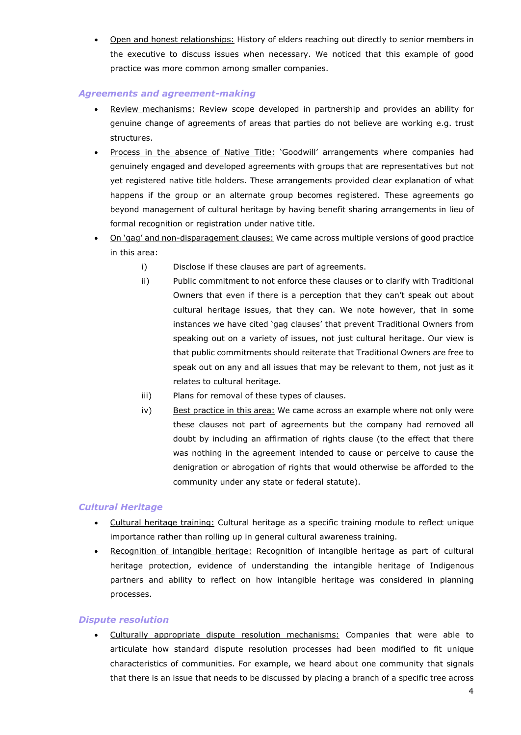• Open and honest relationships: History of elders reaching out directly to senior members in the executive to discuss issues when necessary. We noticed that this example of good practice was more common among smaller companies.

#### *Agreements and agreement-making*

- Review mechanisms: Review scope developed in partnership and provides an ability for genuine change of agreements of areas that parties do not believe are working e.g. trust structures.
- Process in the absence of Native Title: 'Goodwill' arrangements where companies had genuinely engaged and developed agreements with groups that are representatives but not yet registered native title holders. These arrangements provided clear explanation of what happens if the group or an alternate group becomes registered. These agreements go beyond management of cultural heritage by having benefit sharing arrangements in lieu of formal recognition or registration under native title.
- On 'gag' and non-disparagement clauses: We came across multiple versions of good practice in this area:
	- i) Disclose if these clauses are part of agreements.
	- ii) Public commitment to not enforce these clauses or to clarify with Traditional Owners that even if there is a perception that they can't speak out about cultural heritage issues, that they can. We note however, that in some instances we have cited 'gag clauses' that prevent Traditional Owners from speaking out on a variety of issues, not just cultural heritage. Our view is that public commitments should reiterate that Traditional Owners are free to speak out on any and all issues that may be relevant to them, not just as it relates to cultural heritage.
	- iii) Plans for removal of these types of clauses.
	- iv) Best practice in this area: We came across an example where not only were these clauses not part of agreements but the company had removed all doubt by including an affirmation of rights clause (to the effect that there was nothing in the agreement intended to cause or perceive to cause the denigration or abrogation of rights that would otherwise be afforded to the community under any state or federal statute).

# *Cultural Heritage*

- Cultural heritage training: Cultural heritage as a specific training module to reflect unique importance rather than rolling up in general cultural awareness training.
- Recognition of intangible heritage: Recognition of intangible heritage as part of cultural heritage protection, evidence of understanding the intangible heritage of Indigenous partners and ability to reflect on how intangible heritage was considered in planning processes.

# *Dispute resolution*

 Culturally appropriate dispute resolution mechanisms: Companies that were able to articulate how standard dispute resolution processes had been modified to fit unique characteristics of communities. For example, we heard about one community that signals that there is an issue that needs to be discussed by placing a branch of a specific tree across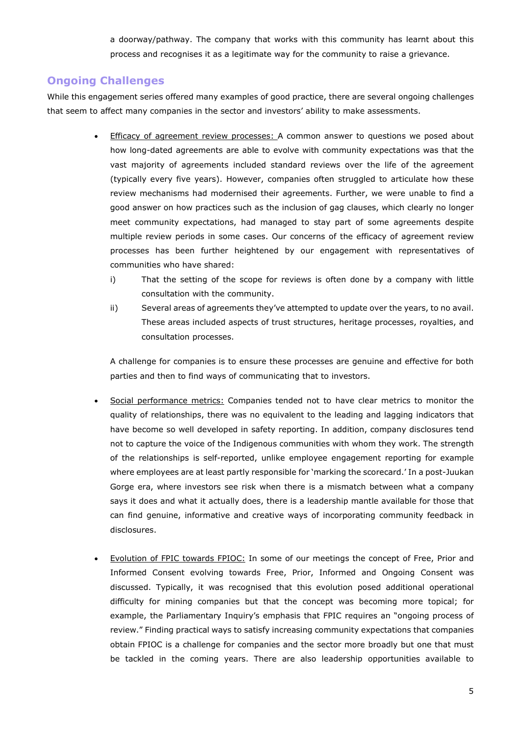a doorway/pathway. The company that works with this community has learnt about this process and recognises it as a legitimate way for the community to raise a grievance.

# **Ongoing Challenges**

While this engagement series offered many examples of good practice, there are several ongoing challenges that seem to affect many companies in the sector and investors' ability to make assessments.

- Efficacy of agreement review processes: A common answer to questions we posed about how long-dated agreements are able to evolve with community expectations was that the vast majority of agreements included standard reviews over the life of the agreement (typically every five years). However, companies often struggled to articulate how these review mechanisms had modernised their agreements. Further, we were unable to find a good answer on how practices such as the inclusion of gag clauses, which clearly no longer meet community expectations, had managed to stay part of some agreements despite multiple review periods in some cases. Our concerns of the efficacy of agreement review processes has been further heightened by our engagement with representatives of communities who have shared:
	- i) That the setting of the scope for reviews is often done by a company with little consultation with the community.
	- ii) Several areas of agreements they've attempted to update over the years, to no avail. These areas included aspects of trust structures, heritage processes, royalties, and consultation processes.

A challenge for companies is to ensure these processes are genuine and effective for both parties and then to find ways of communicating that to investors.

- Social performance metrics: Companies tended not to have clear metrics to monitor the quality of relationships, there was no equivalent to the leading and lagging indicators that have become so well developed in safety reporting. In addition, company disclosures tend not to capture the voice of the Indigenous communities with whom they work. The strength of the relationships is self-reported, unlike employee engagement reporting for example where employees are at least partly responsible for 'marking the scorecard.' In a post-Juukan Gorge era, where investors see risk when there is a mismatch between what a company says it does and what it actually does, there is a leadership mantle available for those that can find genuine, informative and creative ways of incorporating community feedback in disclosures.
- Evolution of FPIC towards FPIOC: In some of our meetings the concept of Free, Prior and Informed Consent evolving towards Free, Prior, Informed and Ongoing Consent was discussed. Typically, it was recognised that this evolution posed additional operational difficulty for mining companies but that the concept was becoming more topical; for example, the Parliamentary Inquiry's emphasis that FPIC requires an "ongoing process of review." Finding practical ways to satisfy increasing community expectations that companies obtain FPIOC is a challenge for companies and the sector more broadly but one that must be tackled in the coming years. There are also leadership opportunities available to